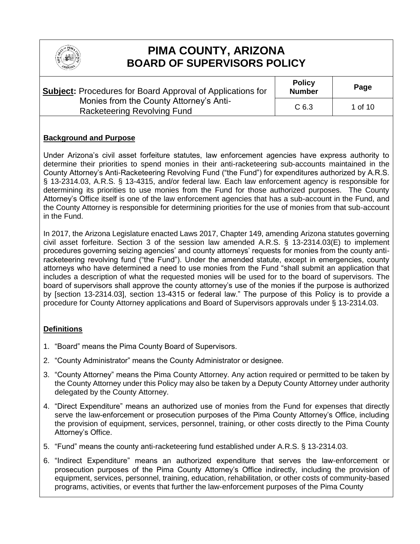

# **PIMA COUNTY, ARIZONA BOARD OF SUPERVISORS POLICY**

| <b>Subject:</b> Procedures for Board Approval of Applications for | <b>Policy</b><br><b>Number</b> | Page    |  |
|-------------------------------------------------------------------|--------------------------------|---------|--|
| Monies from the County Attorney's Anti-                           | C <sub>6.3</sub>               | 1 of 10 |  |
| Racketeering Revolving Fund                                       |                                |         |  |

### **Background and Purpose**

Under Arizona's civil asset forfeiture statutes, law enforcement agencies have express authority to determine their priorities to spend monies in their anti-racketeering sub-accounts maintained in the County Attorney's Anti-Racketeering Revolving Fund ("the Fund") for expenditures authorized by A.R.S. § 13-2314.03, A.R.S. § 13-4315, and/or federal law. Each law enforcement agency is responsible for determining its priorities to use monies from the Fund for those authorized purposes. The County Attorney's Office itself is one of the law enforcement agencies that has a sub-account in the Fund, and the County Attorney is responsible for determining priorities for the use of monies from that sub-account in the Fund.

In 2017, the Arizona Legislature enacted Laws 2017, Chapter 149, amending Arizona statutes governing civil asset forfeiture. Section 3 of the session law amended A.R.S. § 13-2314.03(E) to implement procedures governing seizing agencies' and county attorneys' requests for monies from the county antiracketeering revolving fund ("the Fund"). Under the amended statute, except in emergencies, county attorneys who have determined a need to use monies from the Fund "shall submit an application that includes a description of what the requested monies will be used for to the board of supervisors. The board of supervisors shall approve the county attorney's use of the monies if the purpose is authorized by [section 13-2314.03], section 13-4315 or federal law." The purpose of this Policy is to provide a procedure for County Attorney applications and Board of Supervisors approvals under § 13-2314.03.

#### **Definitions**

- 1. "Board" means the Pima County Board of Supervisors.
- 2. "County Administrator" means the County Administrator or designee.
- 3. "County Attorney" means the Pima County Attorney. Any action required or permitted to be taken by the County Attorney under this Policy may also be taken by a Deputy County Attorney under authority delegated by the County Attorney.
- 4. "Direct Expenditure" means an authorized use of monies from the Fund for expenses that directly serve the law-enforcement or prosecution purposes of the Pima County Attorney's Office, including the provision of equipment, services, personnel, training, or other costs directly to the Pima County Attorney's Office.
- 5. "Fund" means the county anti-racketeering fund established under A.R.S. § 13-2314.03.
- 6. "Indirect Expenditure" means an authorized expenditure that serves the law-enforcement or prosecution purposes of the Pima County Attorney's Office indirectly, including the provision of equipment, services, personnel, training, education, rehabilitation, or other costs of community-based programs, activities, or events that further the law-enforcement purposes of the Pima County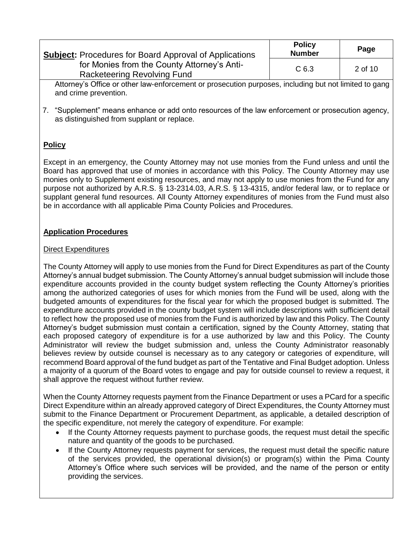| <b>Subject:</b> Procedures for Board Approval of Applications              | <b>Policy</b><br><b>Number</b> | Page    |
|----------------------------------------------------------------------------|--------------------------------|---------|
| for Monies from the County Attorney's Anti-<br>Racketeering Revolving Fund | C <sub>6.3</sub>               | 2 of 10 |

Attorney's Office or other law-enforcement or prosecution purposes, including but not limited to gang and crime prevention.

7. "Supplement" means enhance or add onto resources of the law enforcement or prosecution agency, as distinguished from supplant or replace.

# **Policy**

Except in an emergency, the County Attorney may not use monies from the Fund unless and until the Board has approved that use of monies in accordance with this Policy. The County Attorney may use monies only to Supplement existing resources, and may not apply to use monies from the Fund for any purpose not authorized by A.R.S. § 13-2314.03, A.R.S. § 13-4315, and/or federal law, or to replace or supplant general fund resources. All County Attorney expenditures of monies from the Fund must also be in accordance with all applicable Pima County Policies and Procedures.

### **Application Procedures**

### Direct Expenditures

The County Attorney will apply to use monies from the Fund for Direct Expenditures as part of the County Attorney's annual budget submission. The County Attorney's annual budget submission will include those expenditure accounts provided in the county budget system reflecting the County Attorney's priorities among the authorized categories of uses for which monies from the Fund will be used, along with the budgeted amounts of expenditures for the fiscal year for which the proposed budget is submitted. The expenditure accounts provided in the county budget system will include descriptions with sufficient detail to reflect how the proposed use of monies from the Fund is authorized by law and this Policy. The County Attorney's budget submission must contain a certification, signed by the County Attorney, stating that each proposed category of expenditure is for a use authorized by law and this Policy. The County Administrator will review the budget submission and, unless the County Administrator reasonably believes review by outside counsel is necessary as to any category or categories of expenditure, will recommend Board approval of the fund budget as part of the Tentative and Final Budget adoption. Unless a majority of a quorum of the Board votes to engage and pay for outside counsel to review a request, it shall approve the request without further review.

When the County Attorney requests payment from the Finance Department or uses a PCard for a specific Direct Expenditure within an already approved category of Direct Expenditures, the County Attorney must submit to the Finance Department or Procurement Department, as applicable, a detailed description of the specific expenditure, not merely the category of expenditure. For example:

- If the County Attorney requests payment to purchase goods, the request must detail the specific nature and quantity of the goods to be purchased.
- If the County Attorney requests payment for services, the request must detail the specific nature of the services provided, the operational division(s) or program(s) within the Pima County Attorney's Office where such services will be provided, and the name of the person or entity providing the services.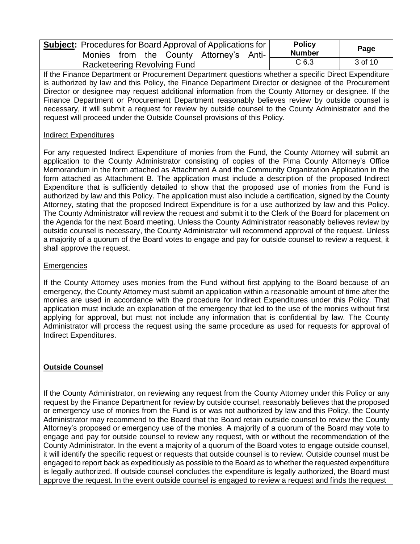| <b>Subject:</b> Procedures for Board Approval of Applications for<br>Monies from the County Attorney's Anti- |  |                  |                    |  | <b>Policy</b><br><b>Number</b> | Page |  |
|--------------------------------------------------------------------------------------------------------------|--|------------------|--------------------|--|--------------------------------|------|--|
| <b>Racketeering Revolving Fund</b>                                                                           |  | C <sub>6.3</sub> | $3 \text{ of } 10$ |  |                                |      |  |

If the Finance Department or Procurement Department questions whether a specific Direct Expenditure is authorized by law and this Policy, the Finance Department Director or designee of the Procurement Director or designee may request additional information from the County Attorney or designee. If the Finance Department or Procurement Department reasonably believes review by outside counsel is necessary, it will submit a request for review by outside counsel to the County Administrator and the request will proceed under the Outside Counsel provisions of this Policy.

#### **Indirect Expenditures**

For any requested Indirect Expenditure of monies from the Fund, the County Attorney will submit an application to the County Administrator consisting of copies of the Pima County Attorney's Office Memorandum in the form attached as Attachment A and the Community Organization Application in the form attached as Attachment B. The application must include a description of the proposed Indirect Expenditure that is sufficiently detailed to show that the proposed use of monies from the Fund is authorized by law and this Policy. The application must also include a certification, signed by the County Attorney, stating that the proposed Indirect Expenditure is for a use authorized by law and this Policy. The County Administrator will review the request and submit it to the Clerk of the Board for placement on the Agenda for the next Board meeting. Unless the County Administrator reasonably believes review by outside counsel is necessary, the County Administrator will recommend approval of the request. Unless a majority of a quorum of the Board votes to engage and pay for outside counsel to review a request, it shall approve the request.

#### **Emergencies**

If the County Attorney uses monies from the Fund without first applying to the Board because of an emergency, the County Attorney must submit an application within a reasonable amount of time after the monies are used in accordance with the procedure for Indirect Expenditures under this Policy. That application must include an explanation of the emergency that led to the use of the monies without first applying for approval, but must not include any information that is confidential by law. The County Administrator will process the request using the same procedure as used for requests for approval of Indirect Expenditures.

### **Outside Counsel**

If the County Administrator, on reviewing any request from the County Attorney under this Policy or any request by the Finance Department for review by outside counsel, reasonably believes that the proposed or emergency use of monies from the Fund is or was not authorized by law and this Policy, the County Administrator may recommend to the Board that the Board retain outside counsel to review the County Attorney's proposed or emergency use of the monies. A majority of a quorum of the Board may vote to engage and pay for outside counsel to review any request, with or without the recommendation of the County Administrator. In the event a majority of a quorum of the Board votes to engage outside counsel, it will identify the specific request or requests that outside counsel is to review. Outside counsel must be engaged to report back as expeditiously as possible to the Board as to whether the requested expenditure is legally authorized. If outside counsel concludes the expenditure is legally authorized, the Board must approve the request. In the event outside counsel is engaged to review a request and finds the request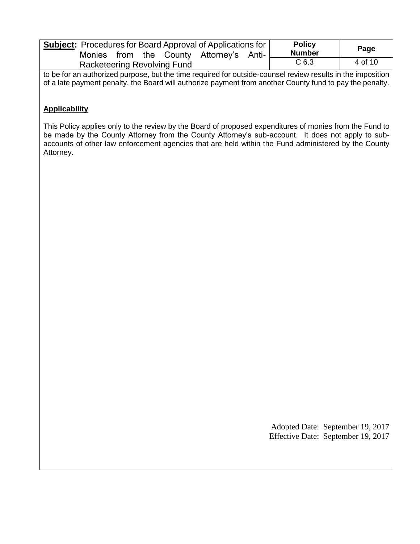| <b>Subject:</b> Procedures for Board Approval of Applications for<br>Monies from<br>the County Attorney's Anti- |  |  |  |  |  | <b>Policy</b><br><b>Number</b> | Page    |  |
|-----------------------------------------------------------------------------------------------------------------|--|--|--|--|--|--------------------------------|---------|--|
| Racketeering Revolving Fund                                                                                     |  |  |  |  |  | C <sub>6.3</sub>               | 4 of 10 |  |

to be for an authorized purpose, but the time required for outside-counsel review results in the imposition of a late payment penalty, the Board will authorize payment from another County fund to pay the penalty.

## **Applicability**

This Policy applies only to the review by the Board of proposed expenditures of monies from the Fund to be made by the County Attorney from the County Attorney's sub-account. It does not apply to subaccounts of other law enforcement agencies that are held within the Fund administered by the County Attorney.

> Adopted Date: September 19, 2017 Effective Date: September 19, 2017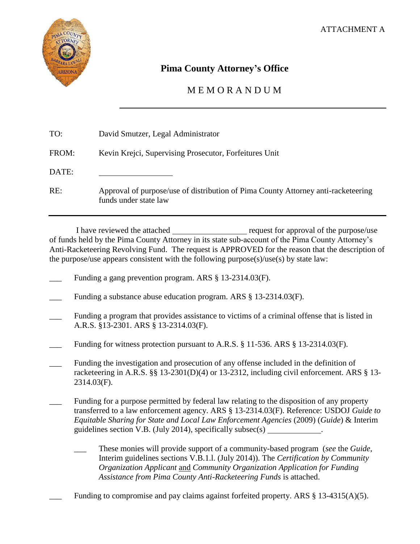

# **Pima County Attorney's Office**

# M E M O R A N D U M

| TO:   | David Smutzer, Legal Administrator                                                                         |
|-------|------------------------------------------------------------------------------------------------------------|
| FROM: | Kevin Krejci, Supervising Prosecutor, Forfeitures Unit                                                     |
| DATE: |                                                                                                            |
| RE:   | Approval of purpose/use of distribution of Pima County Attorney anti-racketeering<br>funds under state law |

I have reviewed the attached request for approval of the purpose/use of funds held by the Pima County Attorney in its state sub-account of the Pima County Attorney's Anti-Racketeering Revolving Fund. The request is APPROVED for the reason that the description of the purpose/use appears consistent with the following purpose(s)/use(s) by state law:

- Funding a gang prevention program. ARS § 13-2314.03(F).
- Funding a substance abuse education program. ARS § 13-2314.03(F).
- Funding a program that provides assistance to victims of a criminal offense that is listed in A.R.S. §13-2301. ARS § 13-2314.03(F).
- Funding for witness protection pursuant to A.R.S.  $\S$  11-536. ARS  $\S$  13-2314.03(F).
- \_\_\_ Funding the investigation and prosecution of any offense included in the definition of racketeering in A.R.S. §§ 13-2301(D)(4) or 13-2312, including civil enforcement. ARS § 13-2314.03(F).
- Funding for a purpose permitted by federal law relating to the disposition of any property transferred to a law enforcement agency. ARS § 13-2314.03(F). Reference: USDOJ *Guide to Equitable Sharing for State and Local Law Enforcement Agencies* (2009) (*Guide*) & Interim guidelines section V.B. (July 2014), specifically subsec $(s)$ 
	- \_\_\_ These monies will provide support of a community-based program (*see* the *Guide*, Interim guidelines sections V.B.1.l. (July 2014)). The *Certification by Community Organization Applicant* and *Community Organization Application for Funding Assistance from Pima County Anti-Racketeering Funds* is attached.

Funding to compromise and pay claims against forfeited property. ARS  $\S$  13-4315(A)(5).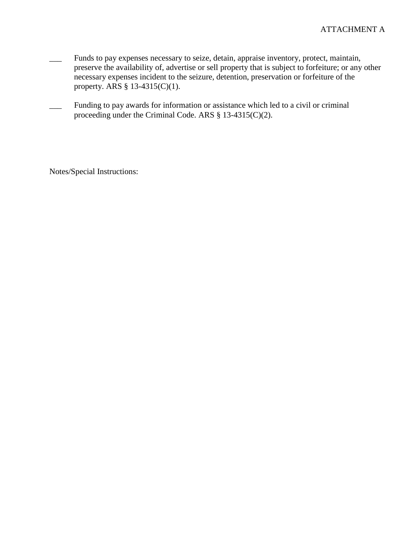- \_\_\_ Funds to pay expenses necessary to seize, detain, appraise inventory, protect, maintain, preserve the availability of, advertise or sell property that is subject to forfeiture; or any other necessary expenses incident to the seizure, detention, preservation or forfeiture of the property. ARS § 13-4315(C)(1).
- \_\_\_ Funding to pay awards for information or assistance which led to a civil or criminal proceeding under the Criminal Code. ARS § 13-4315(C)(2).

Notes/Special Instructions: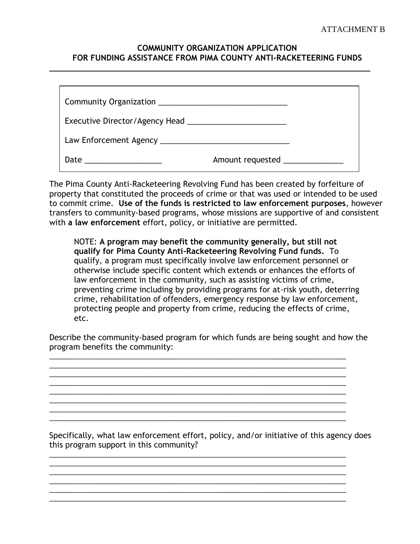#### **COMMUNITY ORGANIZATION APPLICATION FOR FUNDING ASSISTANCE FROM PIMA COUNTY ANTI-RACKETEERING FUNDS**

| Executive Director/Agency Head         |                              |  |
|----------------------------------------|------------------------------|--|
| Law Enforcement Agency _______________ |                              |  |
| Date                                   | Amount requested ___________ |  |

The Pima County Anti-Racketeering Revolving Fund has been created by forfeiture of property that constituted the proceeds of crime or that was used or intended to be used to commit crime. **Use of the funds is restricted to law enforcement purposes**, however transfers to community-based programs, whose missions are supportive of and consistent with **a law enforcement** effort, policy, or initiative are permitted.

NOTE: **A program may benefit the community generally, but still not qualify for Pima County Anti-Racketeering Revolving Fund funds.** To qualify, a program must specifically involve law enforcement personnel or otherwise include specific content which extends or enhances the efforts of law enforcement in the community, such as assisting victims of crime, preventing crime including by providing programs for at-risk youth, deterring crime, rehabilitation of offenders, emergency response by law enforcement, protecting people and property from crime, reducing the effects of crime, etc.

Describe the community-based program for which funds are being sought and how the program benefits the community:

\_\_\_\_\_\_\_\_\_\_\_\_\_\_\_\_\_\_\_\_\_\_\_\_\_\_\_\_\_\_\_\_\_\_\_\_\_\_\_\_\_\_\_\_\_\_\_\_\_\_\_\_\_\_\_\_\_\_\_\_\_\_\_\_\_\_\_\_\_\_\_\_\_\_\_

\_\_\_\_\_\_\_\_\_\_\_\_\_\_\_\_\_\_\_\_\_\_\_\_\_\_\_\_\_\_\_\_\_\_\_\_\_\_\_\_\_\_\_\_\_\_\_\_\_\_\_\_\_\_\_\_\_\_\_\_\_\_\_\_\_\_\_\_\_\_\_\_\_\_\_ \_\_\_\_\_\_\_\_\_\_\_\_\_\_\_\_\_\_\_\_\_\_\_\_\_\_\_\_\_\_\_\_\_\_\_\_\_\_\_\_\_\_\_\_\_\_\_\_\_\_\_\_\_\_\_\_\_\_\_\_\_\_\_\_\_\_\_\_\_\_\_\_\_\_\_

\_\_\_\_\_\_\_\_\_\_\_\_\_\_\_\_\_\_\_\_\_\_\_\_\_\_\_\_\_\_\_\_\_\_\_\_\_\_\_\_\_\_\_\_\_\_\_\_\_\_\_\_\_\_\_\_\_\_\_\_\_\_\_\_\_\_\_\_\_\_\_\_\_\_\_ \_\_\_\_\_\_\_\_\_\_\_\_\_\_\_\_\_\_\_\_\_\_\_\_\_\_\_\_\_\_\_\_\_\_\_\_\_\_\_\_\_\_\_\_\_\_\_\_\_\_\_\_\_\_\_\_\_\_\_\_\_\_\_\_\_\_\_\_\_\_\_\_\_\_\_ \_\_\_\_\_\_\_\_\_\_\_\_\_\_\_\_\_\_\_\_\_\_\_\_\_\_\_\_\_\_\_\_\_\_\_\_\_\_\_\_\_\_\_\_\_\_\_\_\_\_\_\_\_\_\_\_\_\_\_\_\_\_\_\_\_\_\_\_\_\_\_\_\_\_\_

\_\_\_\_\_\_\_\_\_\_\_\_\_\_\_\_\_\_\_\_\_\_\_\_\_\_\_\_\_\_\_\_\_\_\_\_\_\_\_\_\_\_\_\_\_\_\_\_\_\_\_\_\_\_\_\_\_\_\_\_\_\_\_\_\_\_\_\_\_\_\_\_\_\_\_  $\mathcal{L}_\text{max}$  , and the set of the set of the set of the set of the set of the set of the set of the set of the set of the set of the set of the set of the set of the set of the set of the set of the set of the set of the

\_\_\_\_\_\_\_\_\_\_\_\_\_\_\_\_\_\_\_\_\_\_\_\_\_\_\_\_\_\_\_\_\_\_\_\_\_\_\_\_\_\_\_\_\_\_\_\_\_\_\_\_\_\_\_\_\_\_\_\_\_\_\_\_\_\_\_\_\_\_\_\_\_\_\_ \_\_\_\_\_\_\_\_\_\_\_\_\_\_\_\_\_\_\_\_\_\_\_\_\_\_\_\_\_\_\_\_\_\_\_\_\_\_\_\_\_\_\_\_\_\_\_\_\_\_\_\_\_\_\_\_\_\_\_\_\_\_\_\_\_\_\_\_\_\_\_\_\_\_\_ \_\_\_\_\_\_\_\_\_\_\_\_\_\_\_\_\_\_\_\_\_\_\_\_\_\_\_\_\_\_\_\_\_\_\_\_\_\_\_\_\_\_\_\_\_\_\_\_\_\_\_\_\_\_\_\_\_\_\_\_\_\_\_\_\_\_\_\_\_\_\_\_\_\_\_

Specifically, what law enforcement effort, policy, and/or initiative of this agency does this program support in this community?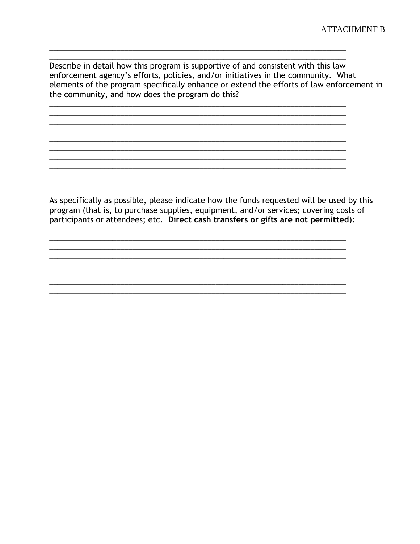Describe in detail how this program is supportive of and consistent with this law enforcement agency's efforts, policies, and/or initiatives in the community. What elements of the program specifically enhance or extend the efforts of law enforcement in the community, and how does the program do this?

<u> 1989 - Johann John Stoff, deutscher Stoffen und der Stoffen und der Stoffen und der Stoffen und der Stoffen</u>

<u> 1989 - Johann Stein, mars an deutscher Stein und der Stein und der Stein und der Stein und der Stein und der</u>

As specifically as possible, please indicate how the funds requested will be used by this program (that is, to purchase supplies, equipment, and/or services; covering costs of participants or attendees; etc. Direct cash transfers or gifts are not permitted):

<u> 1980 - Jan Stein Stein Stein Stein Stein Stein Stein Stein Stein Stein Stein Stein Stein Stein Stein Stein S</u>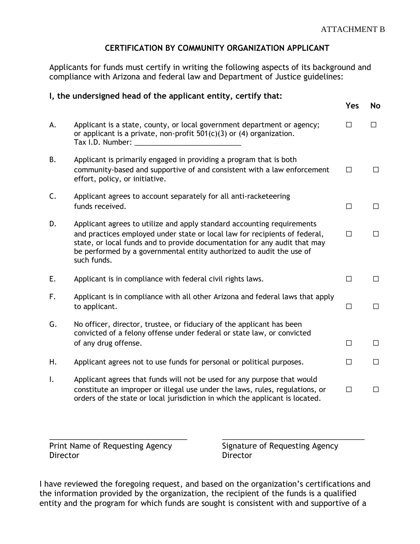# **CERTIFICATION BY COMMUNITY ORGANIZATION APPLICANT**

Applicants for funds must certify in writing the following aspects of its background and compliance with Arizona and federal law and Department of Justice guidelines:

#### **I, the undersigned head of the applicant entity, certify that:**

|    |                                                                                                                                                                                                                                                                                                                          | Yes    | No     |
|----|--------------------------------------------------------------------------------------------------------------------------------------------------------------------------------------------------------------------------------------------------------------------------------------------------------------------------|--------|--------|
| А. | Applicant is a state, county, or local government department or agency;<br>or applicant is a private, non-profit $501(c)(3)$ or (4) organization.<br>Tax I.D. Number:                                                                                                                                                    | П      | П      |
| В. | Applicant is primarily engaged in providing a program that is both<br>community-based and supportive of and consistent with a law enforcement<br>effort, policy, or initiative.                                                                                                                                          | $\Box$ | $\Box$ |
| C. | Applicant agrees to account separately for all anti-racketeering<br>funds received.                                                                                                                                                                                                                                      | П      | $\Box$ |
| D. | Applicant agrees to utilize and apply standard accounting requirements<br>and practices employed under state or local law for recipients of federal,<br>state, or local funds and to provide documentation for any audit that may<br>be performed by a governmental entity authorized to audit the use of<br>such funds. | $\Box$ | $\Box$ |
| Е. | Applicant is in compliance with federal civil rights laws.                                                                                                                                                                                                                                                               | П      | П      |
| F. | Applicant is in compliance with all other Arizona and federal laws that apply<br>to applicant.                                                                                                                                                                                                                           | □      | $\Box$ |
| G. | No officer, director, trustee, or fiduciary of the applicant has been<br>convicted of a felony offense under federal or state law, or convicted<br>of any drug offense.                                                                                                                                                  | П      | □      |
| Η. | Applicant agrees not to use funds for personal or political purposes.                                                                                                                                                                                                                                                    | $\Box$ | $\Box$ |
| I. | Applicant agrees that funds will not be used for any purpose that would<br>constitute an improper or illegal use under the laws, rules, regulations, or<br>orders of the state or local jurisdiction in which the applicant is located.                                                                                  | $\Box$ | $\Box$ |

Print Name of Requesting Agency Signature of Requesting Agency Director Director

I have reviewed the foregoing request, and based on the organization's certifications and the information provided by the organization, the recipient of the funds is a qualified entity and the program for which funds are sought is consistent with and supportive of a

\_\_\_\_\_\_\_\_\_\_\_\_\_\_\_\_\_\_\_\_\_\_\_\_\_\_\_\_\_\_\_\_ \_\_\_\_\_\_\_\_\_\_\_\_\_\_\_\_\_\_\_\_\_\_\_\_\_\_\_\_\_\_\_\_\_